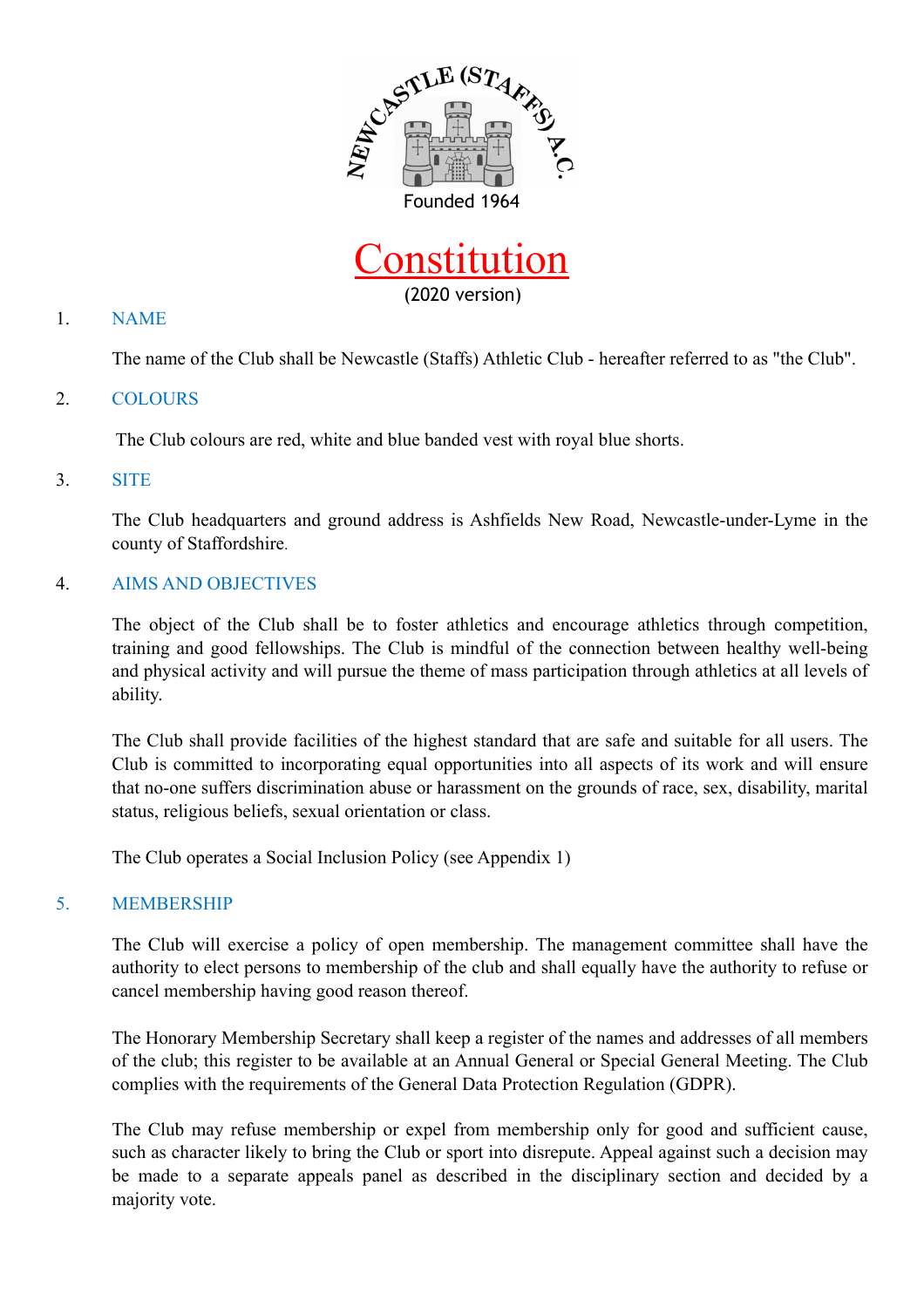



#### 1. NAME

The name of the Club shall be Newcastle (Staffs) Athletic Club - hereafter referred to as "the Club".

#### 2. COLOURS

The Club colours are red, white and blue banded vest with royal blue shorts.

#### 3. SITE

The Club headquarters and ground address is Ashfields New Road, Newcastle-under-Lyme in the county of Staffordshire.

#### 4. AIMS AND OBJECTIVES

The object of the Club shall be to foster athletics and encourage athletics through competition, training and good fellowships. The Club is mindful of the connection between healthy well-being and physical activity and will pursue the theme of mass participation through athletics at all levels of ability.

The Club shall provide facilities of the highest standard that are safe and suitable for all users. The Club is committed to incorporating equal opportunities into all aspects of its work and will ensure that no-one suffers discrimination abuse or harassment on the grounds of race, sex, disability, marital status, religious beliefs, sexual orientation or class.

The Club operates a Social Inclusion Policy (see Appendix 1)

#### 5. MEMBERSHIP

The Club will exercise a policy of open membership. The management committee shall have the authority to elect persons to membership of the club and shall equally have the authority to refuse or cancel membership having good reason thereof.

The Honorary Membership Secretary shall keep a register of the names and addresses of all members of the club; this register to be available at an Annual General or Special General Meeting. The Club complies with the requirements of the General Data Protection Regulation (GDPR).

The Club may refuse membership or expel from membership only for good and sufficient cause, such as character likely to bring the Club or sport into disrepute. Appeal against such a decision may be made to a separate appeals panel as described in the disciplinary section and decided by a majority vote.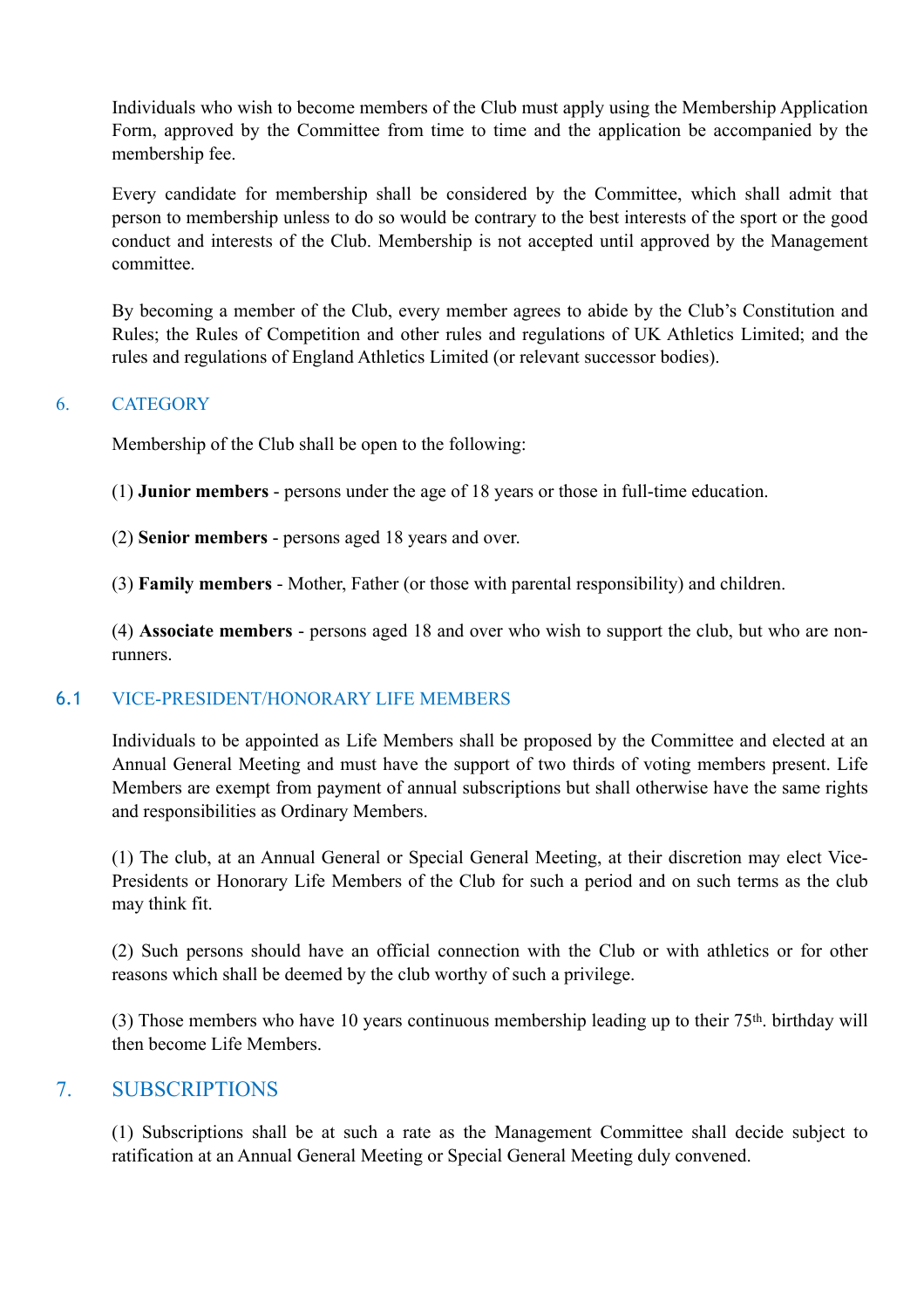Individuals who wish to become members of the Club must apply using the Membership Application Form, approved by the Committee from time to time and the application be accompanied by the membership fee.

Every candidate for membership shall be considered by the Committee, which shall admit that person to membership unless to do so would be contrary to the best interests of the sport or the good conduct and interests of the Club. Membership is not accepted until approved by the Management committee.

By becoming a member of the Club, every member agrees to abide by the Club's Constitution and Rules; the Rules of Competition and other rules and regulations of UK Athletics Limited; and the rules and regulations of England Athletics Limited (or relevant successor bodies).

#### 6. CATEGORY

Membership of the Club shall be open to the following:

- (1) **Junior members** persons under the age of 18 years or those in full-time education.
- (2) **Senior members** persons aged 18 years and over.
- (3) **Family members** Mother, Father (or those with parental responsibility) and children.

(4) **Associate members** - persons aged 18 and over who wish to support the club, but who are nonrunners.

#### 6.1 VICE-PRESIDENT/HONORARY LIFE MEMBERS

Individuals to be appointed as Life Members shall be proposed by the Committee and elected at an Annual General Meeting and must have the support of two thirds of voting members present. Life Members are exempt from payment of annual subscriptions but shall otherwise have the same rights and responsibilities as Ordinary Members.

(1) The club, at an Annual General or Special General Meeting, at their discretion may elect Vice-Presidents or Honorary Life Members of the Club for such a period and on such terms as the club may think fit.

(2) Such persons should have an official connection with the Club or with athletics or for other reasons which shall be deemed by the club worthy of such a privilege.

(3) Those members who have 10 years continuous membership leading up to their  $75<sup>th</sup>$ . birthday will then become Life Members.

### 7. SUBSCRIPTIONS

(1) Subscriptions shall be at such a rate as the Management Committee shall decide subject to ratification at an Annual General Meeting or Special General Meeting duly convened.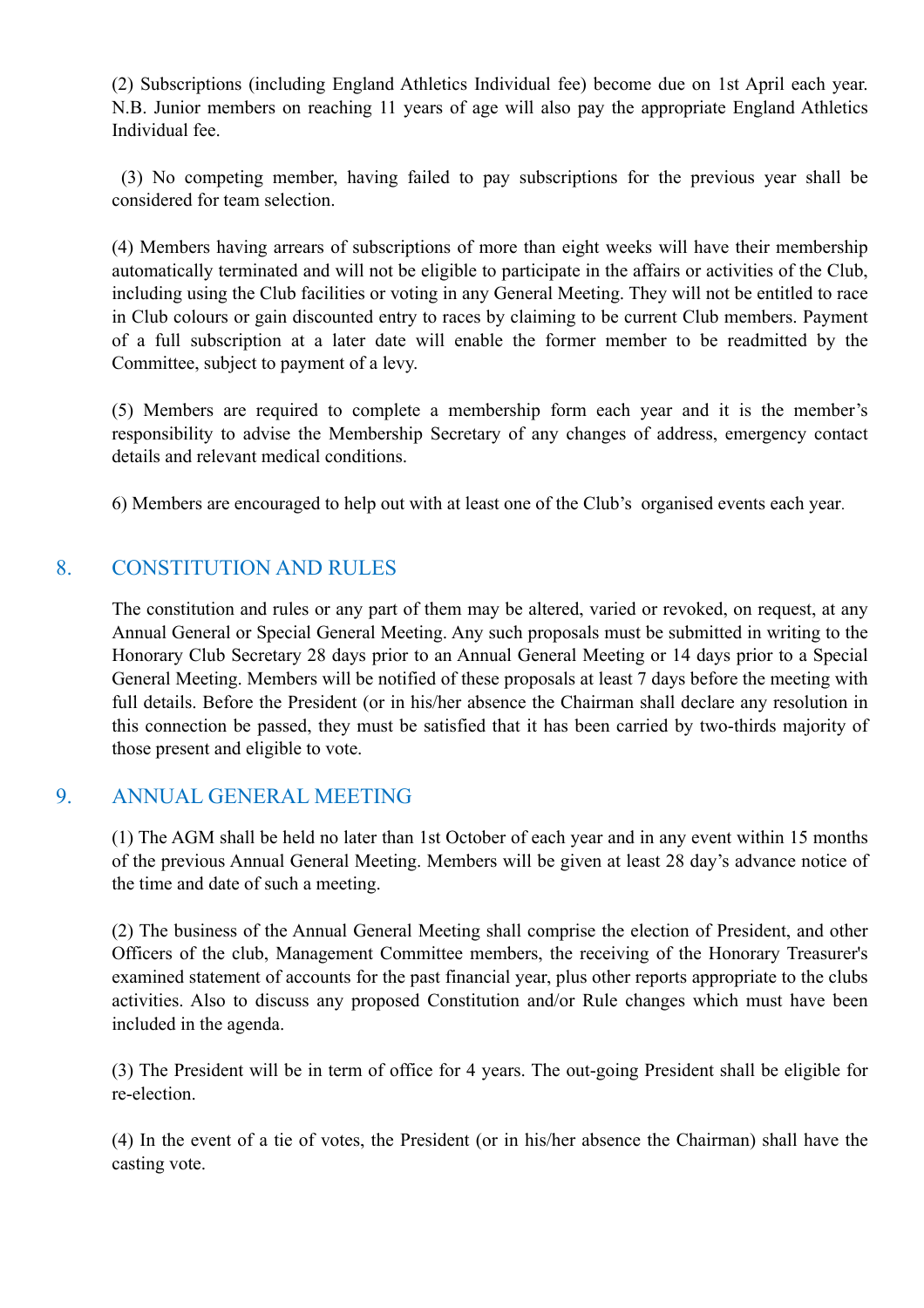(2) Subscriptions (including England Athletics Individual fee) become due on 1st April each year. N.B. Junior members on reaching 11 years of age will also pay the appropriate England Athletics Individual fee.

 (3) No competing member, having failed to pay subscriptions for the previous year shall be considered for team selection.

(4) Members having arrears of subscriptions of more than eight weeks will have their membership automatically terminated and will not be eligible to participate in the affairs or activities of the Club, including using the Club facilities or voting in any General Meeting. They will not be entitled to race in Club colours or gain discounted entry to races by claiming to be current Club members. Payment of a full subscription at a later date will enable the former member to be readmitted by the Committee, subject to payment of a levy.

(5) Members are required to complete a membership form each year and it is the member's responsibility to advise the Membership Secretary of any changes of address, emergency contact details and relevant medical conditions.

6) Members are encouraged to help out with at least one of the Club's organised events each year.

# 8. CONSTITUTION AND RULES

The constitution and rules or any part of them may be altered, varied or revoked, on request, at any Annual General or Special General Meeting. Any such proposals must be submitted in writing to the Honorary Club Secretary 28 days prior to an Annual General Meeting or 14 days prior to a Special General Meeting. Members will be notified of these proposals at least 7 days before the meeting with full details. Before the President (or in his/her absence the Chairman shall declare any resolution in this connection be passed, they must be satisfied that it has been carried by two-thirds majority of those present and eligible to vote.

### 9. ANNUAL GENERAL MEETING

(1) The AGM shall be held no later than 1st October of each year and in any event within 15 months of the previous Annual General Meeting. Members will be given at least 28 day's advance notice of the time and date of such a meeting.

(2) The business of the Annual General Meeting shall comprise the election of President, and other Officers of the club, Management Committee members, the receiving of the Honorary Treasurer's examined statement of accounts for the past financial year, plus other reports appropriate to the clubs activities. Also to discuss any proposed Constitution and/or Rule changes which must have been included in the agenda.

(3) The President will be in term of office for 4 years. The out-going President shall be eligible for re-election.

(4) In the event of a tie of votes, the President (or in his/her absence the Chairman) shall have the casting vote.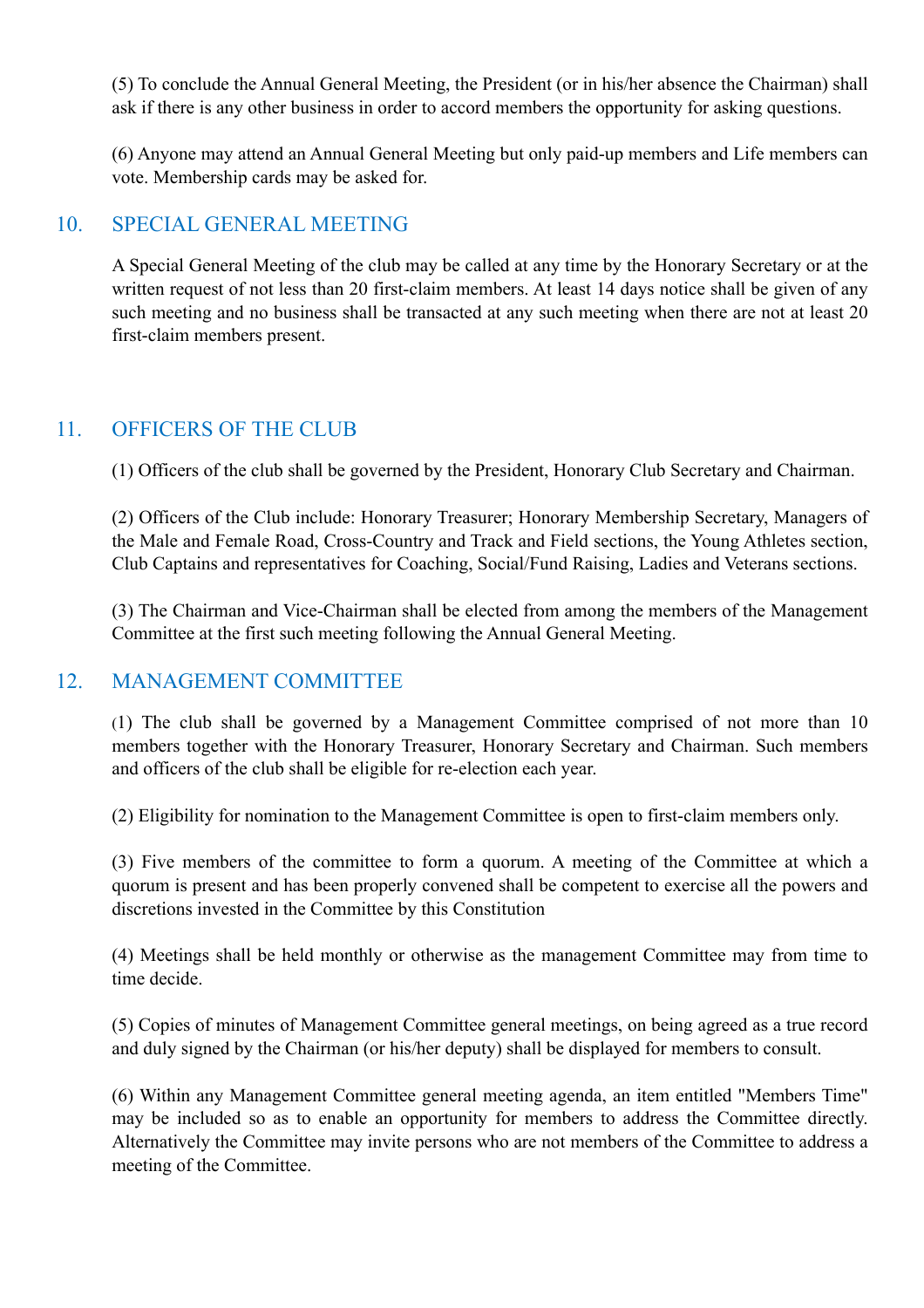(5) To conclude the Annual General Meeting, the President (or in his/her absence the Chairman) shall ask if there is any other business in order to accord members the opportunity for asking questions.

(6) Anyone may attend an Annual General Meeting but only paid-up members and Life members can vote. Membership cards may be asked for.

# 10. SPECIAL GENERAL MEETING

A Special General Meeting of the club may be called at any time by the Honorary Secretary or at the written request of not less than 20 first-claim members. At least 14 days notice shall be given of any such meeting and no business shall be transacted at any such meeting when there are not at least 20 first-claim members present.

# 11. OFFICERS OF THE CLUB

(1) Officers of the club shall be governed by the President, Honorary Club Secretary and Chairman.

(2) Officers of the Club include: Honorary Treasurer; Honorary Membership Secretary, Managers of the Male and Female Road, Cross-Country and Track and Field sections, the Young Athletes section, Club Captains and representatives for Coaching, Social/Fund Raising, Ladies and Veterans sections.

(3) The Chairman and Vice-Chairman shall be elected from among the members of the Management Committee at the first such meeting following the Annual General Meeting.

# 12. MANAGEMENT COMMITTEE

(1) The club shall be governed by a Management Committee comprised of not more than 10 members together with the Honorary Treasurer, Honorary Secretary and Chairman. Such members and officers of the club shall be eligible for re-election each year.

(2) Eligibility for nomination to the Management Committee is open to first-claim members only.

(3) Five members of the committee to form a quorum. A meeting of the Committee at which a quorum is present and has been properly convened shall be competent to exercise all the powers and discretions invested in the Committee by this Constitution

(4) Meetings shall be held monthly or otherwise as the management Committee may from time to time decide.

(5) Copies of minutes of Management Committee general meetings, on being agreed as a true record and duly signed by the Chairman (or his/her deputy) shall be displayed for members to consult.

(6) Within any Management Committee general meeting agenda, an item entitled "Members Time" may be included so as to enable an opportunity for members to address the Committee directly. Alternatively the Committee may invite persons who are not members of the Committee to address a meeting of the Committee.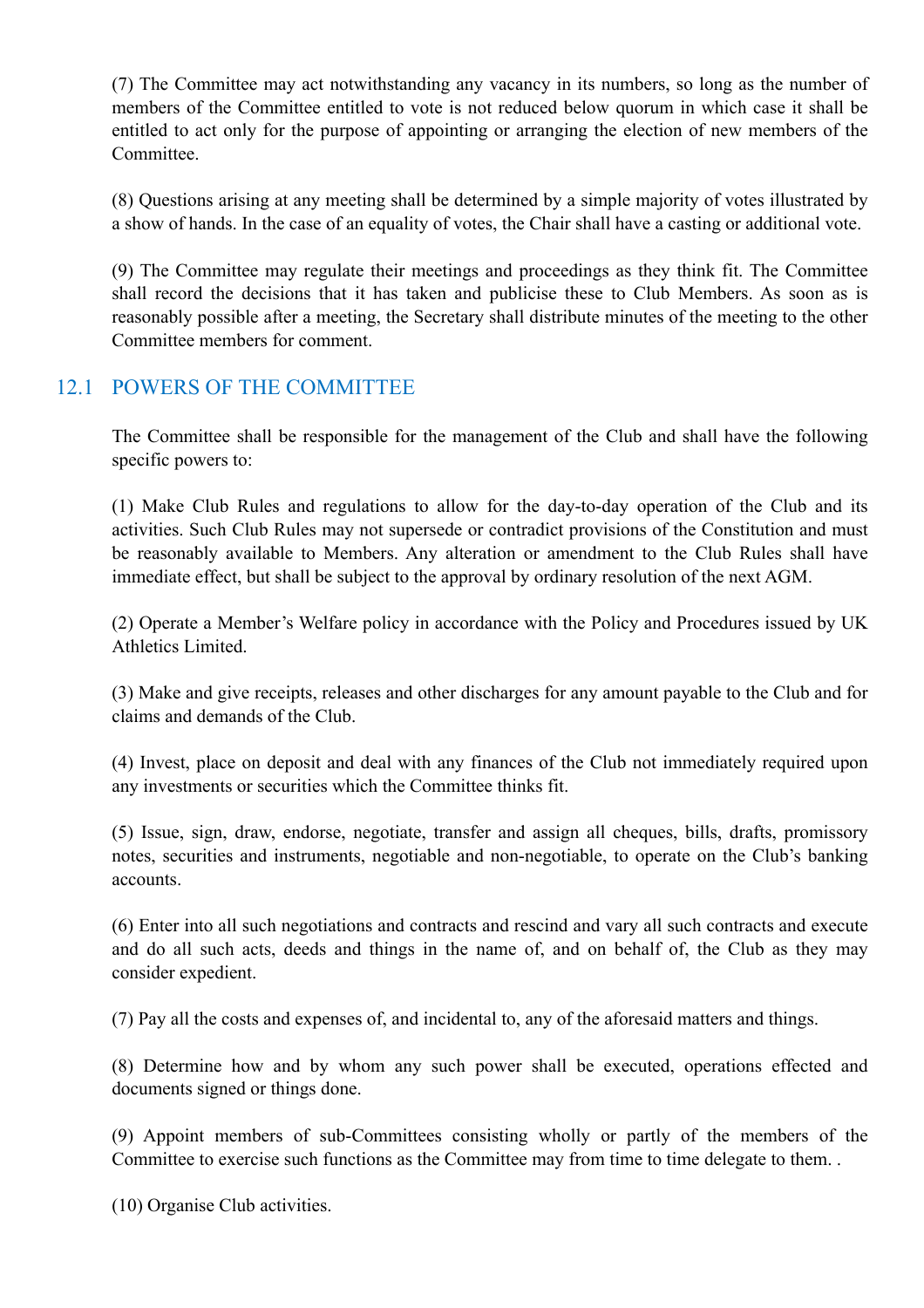(7) The Committee may act notwithstanding any vacancy in its numbers, so long as the number of members of the Committee entitled to vote is not reduced below quorum in which case it shall be entitled to act only for the purpose of appointing or arranging the election of new members of the Committee.

(8) Questions arising at any meeting shall be determined by a simple majority of votes illustrated by a show of hands. In the case of an equality of votes, the Chair shall have a casting or additional vote.

(9) The Committee may regulate their meetings and proceedings as they think fit. The Committee shall record the decisions that it has taken and publicise these to Club Members. As soon as is reasonably possible after a meeting, the Secretary shall distribute minutes of the meeting to the other Committee members for comment.

# 12.1 POWERS OF THE COMMITTEE

The Committee shall be responsible for the management of the Club and shall have the following specific powers to:

(1) Make Club Rules and regulations to allow for the day-to-day operation of the Club and its activities. Such Club Rules may not supersede or contradict provisions of the Constitution and must be reasonably available to Members. Any alteration or amendment to the Club Rules shall have immediate effect, but shall be subject to the approval by ordinary resolution of the next AGM.

(2) Operate a Member's Welfare policy in accordance with the Policy and Procedures issued by UK Athletics Limited.

(3) Make and give receipts, releases and other discharges for any amount payable to the Club and for claims and demands of the Club.

(4) Invest, place on deposit and deal with any finances of the Club not immediately required upon any investments or securities which the Committee thinks fit.

(5) Issue, sign, draw, endorse, negotiate, transfer and assign all cheques, bills, drafts, promissory notes, securities and instruments, negotiable and non-negotiable, to operate on the Club's banking accounts.

(6) Enter into all such negotiations and contracts and rescind and vary all such contracts and execute and do all such acts, deeds and things in the name of, and on behalf of, the Club as they may consider expedient.

(7) Pay all the costs and expenses of, and incidental to, any of the aforesaid matters and things.

(8) Determine how and by whom any such power shall be executed, operations effected and documents signed or things done.

(9) Appoint members of sub-Committees consisting wholly or partly of the members of the Committee to exercise such functions as the Committee may from time to time delegate to them. .

(10) Organise Club activities.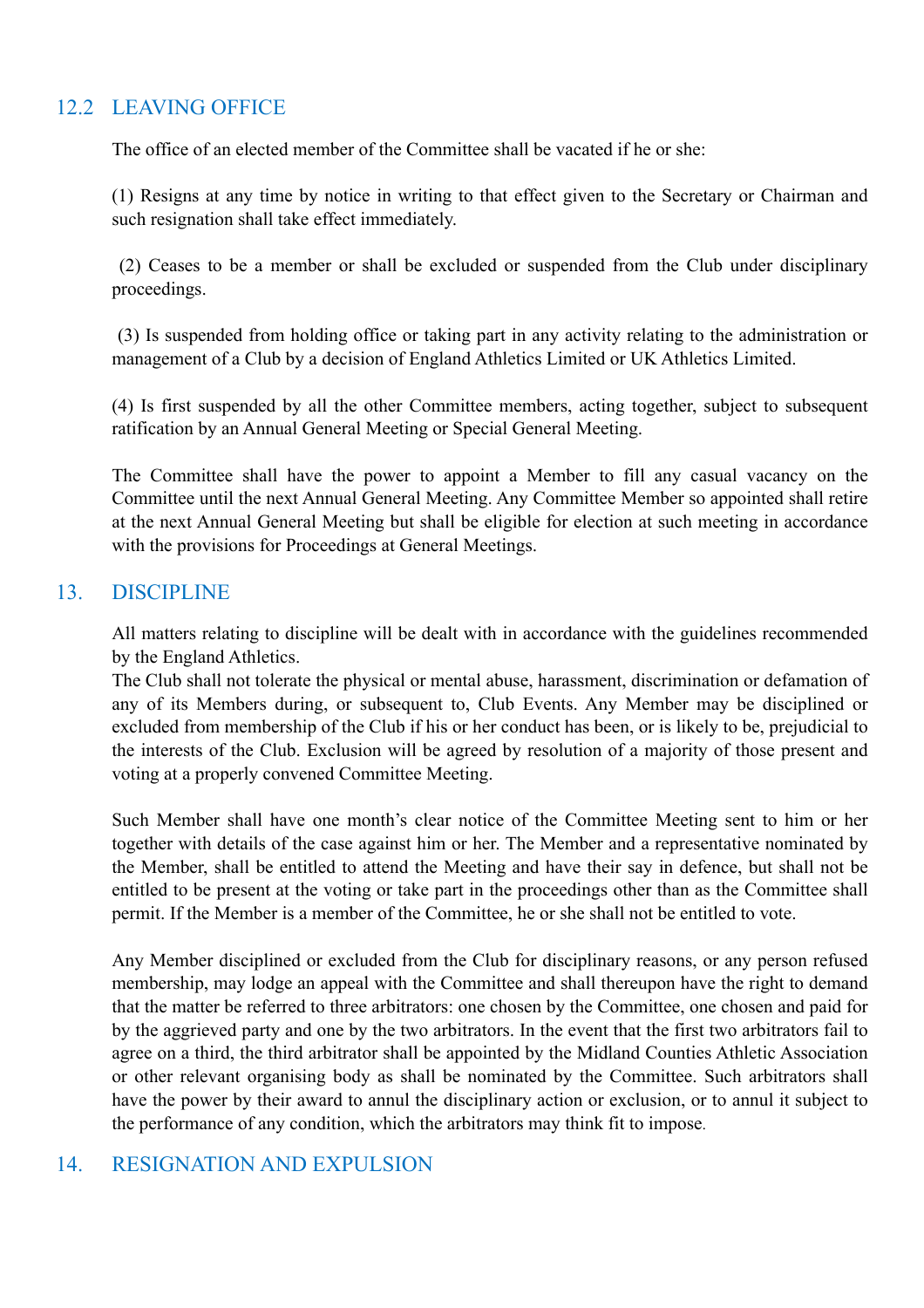# 12.2 LEAVING OFFICE

The office of an elected member of the Committee shall be vacated if he or she:

(1) Resigns at any time by notice in writing to that effect given to the Secretary or Chairman and such resignation shall take effect immediately.

 (2) Ceases to be a member or shall be excluded or suspended from the Club under disciplinary proceedings.

 (3) Is suspended from holding office or taking part in any activity relating to the administration or management of a Club by a decision of England Athletics Limited or UK Athletics Limited.

(4) Is first suspended by all the other Committee members, acting together, subject to subsequent ratification by an Annual General Meeting or Special General Meeting.

The Committee shall have the power to appoint a Member to fill any casual vacancy on the Committee until the next Annual General Meeting. Any Committee Member so appointed shall retire at the next Annual General Meeting but shall be eligible for election at such meeting in accordance with the provisions for Proceedings at General Meetings.

### 13. DISCIPLINE

All matters relating to discipline will be dealt with in accordance with the guidelines recommended by the England Athletics.

The Club shall not tolerate the physical or mental abuse, harassment, discrimination or defamation of any of its Members during, or subsequent to, Club Events. Any Member may be disciplined or excluded from membership of the Club if his or her conduct has been, or is likely to be, prejudicial to the interests of the Club. Exclusion will be agreed by resolution of a majority of those present and voting at a properly convened Committee Meeting.

Such Member shall have one month's clear notice of the Committee Meeting sent to him or her together with details of the case against him or her. The Member and a representative nominated by the Member, shall be entitled to attend the Meeting and have their say in defence, but shall not be entitled to be present at the voting or take part in the proceedings other than as the Committee shall permit. If the Member is a member of the Committee, he or she shall not be entitled to vote.

Any Member disciplined or excluded from the Club for disciplinary reasons, or any person refused membership, may lodge an appeal with the Committee and shall thereupon have the right to demand that the matter be referred to three arbitrators: one chosen by the Committee, one chosen and paid for by the aggrieved party and one by the two arbitrators. In the event that the first two arbitrators fail to agree on a third, the third arbitrator shall be appointed by the Midland Counties Athletic Association or other relevant organising body as shall be nominated by the Committee. Such arbitrators shall have the power by their award to annul the disciplinary action or exclusion, or to annul it subject to the performance of any condition, which the arbitrators may think fit to impose.

# 14. RESIGNATION AND EXPULSION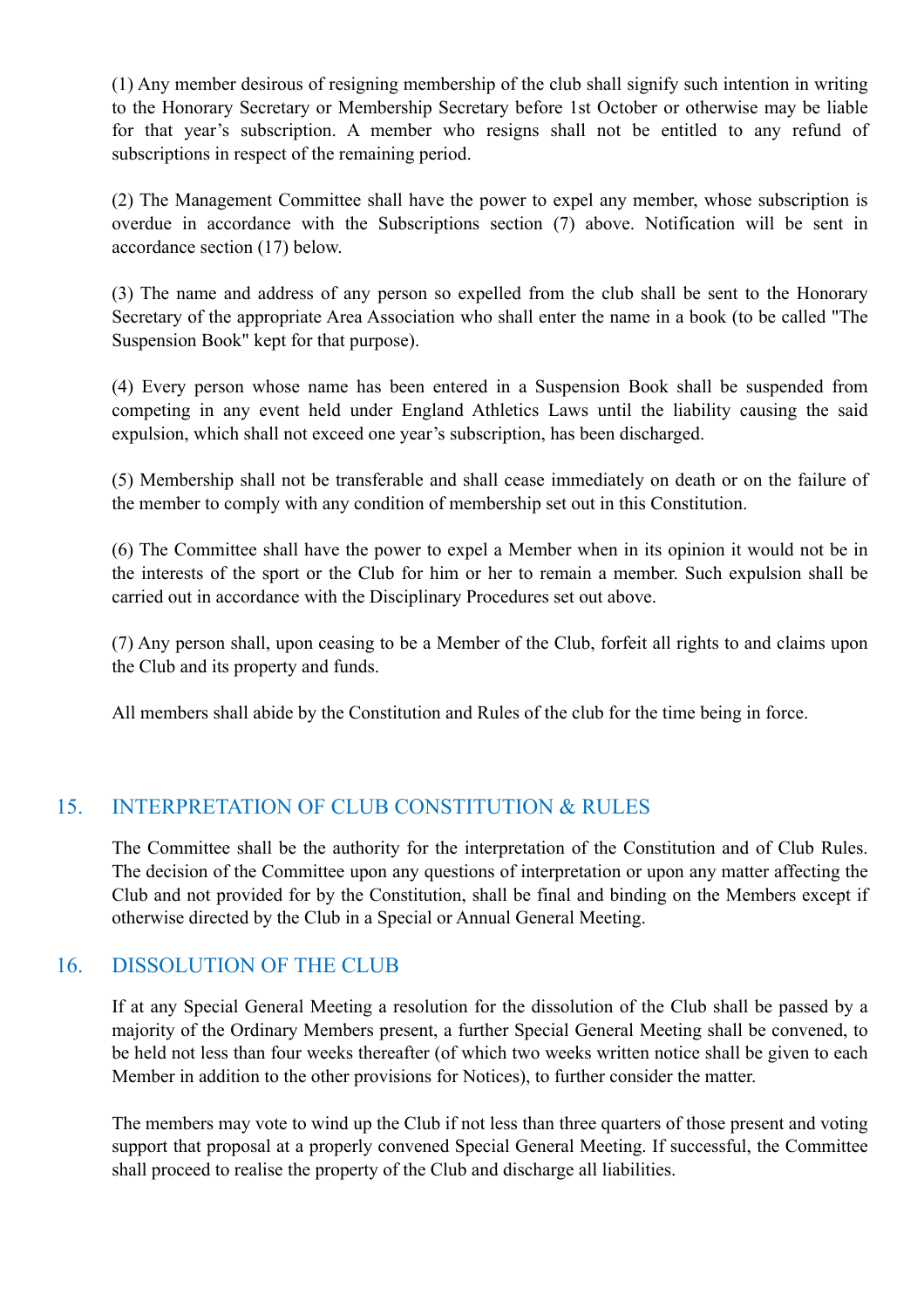(1) Any member desirous of resigning membership of the club shall signify such intention in writing to the Honorary Secretary or Membership Secretary before 1st October or otherwise may be liable for that year's subscription. A member who resigns shall not be entitled to any refund of subscriptions in respect of the remaining period.

(2) The Management Committee shall have the power to expel any member, whose subscription is overdue in accordance with the Subscriptions section (7) above. Notification will be sent in accordance section (17) below.

(3) The name and address of any person so expelled from the club shall be sent to the Honorary Secretary of the appropriate Area Association who shall enter the name in a book (to be called "The Suspension Book" kept for that purpose).

(4) Every person whose name has been entered in a Suspension Book shall be suspended from competing in any event held under England Athletics Laws until the liability causing the said expulsion, which shall not exceed one year's subscription, has been discharged.

(5) Membership shall not be transferable and shall cease immediately on death or on the failure of the member to comply with any condition of membership set out in this Constitution.

(6) The Committee shall have the power to expel a Member when in its opinion it would not be in the interests of the sport or the Club for him or her to remain a member. Such expulsion shall be carried out in accordance with the Disciplinary Procedures set out above.

(7) Any person shall, upon ceasing to be a Member of the Club, forfeit all rights to and claims upon the Club and its property and funds.

All members shall abide by the Constitution and Rules of the club for the time being in force.

# 15. INTERPRETATION OF CLUB CONSTITUTION & RULES

The Committee shall be the authority for the interpretation of the Constitution and of Club Rules. The decision of the Committee upon any questions of interpretation or upon any matter affecting the Club and not provided for by the Constitution, shall be final and binding on the Members except if otherwise directed by the Club in a Special or Annual General Meeting.

# 16. DISSOLUTION OF THE CLUB

If at any Special General Meeting a resolution for the dissolution of the Club shall be passed by a majority of the Ordinary Members present, a further Special General Meeting shall be convened, to be held not less than four weeks thereafter (of which two weeks written notice shall be given to each Member in addition to the other provisions for Notices), to further consider the matter.

The members may vote to wind up the Club if not less than three quarters of those present and voting support that proposal at a properly convened Special General Meeting. If successful, the Committee shall proceed to realise the property of the Club and discharge all liabilities.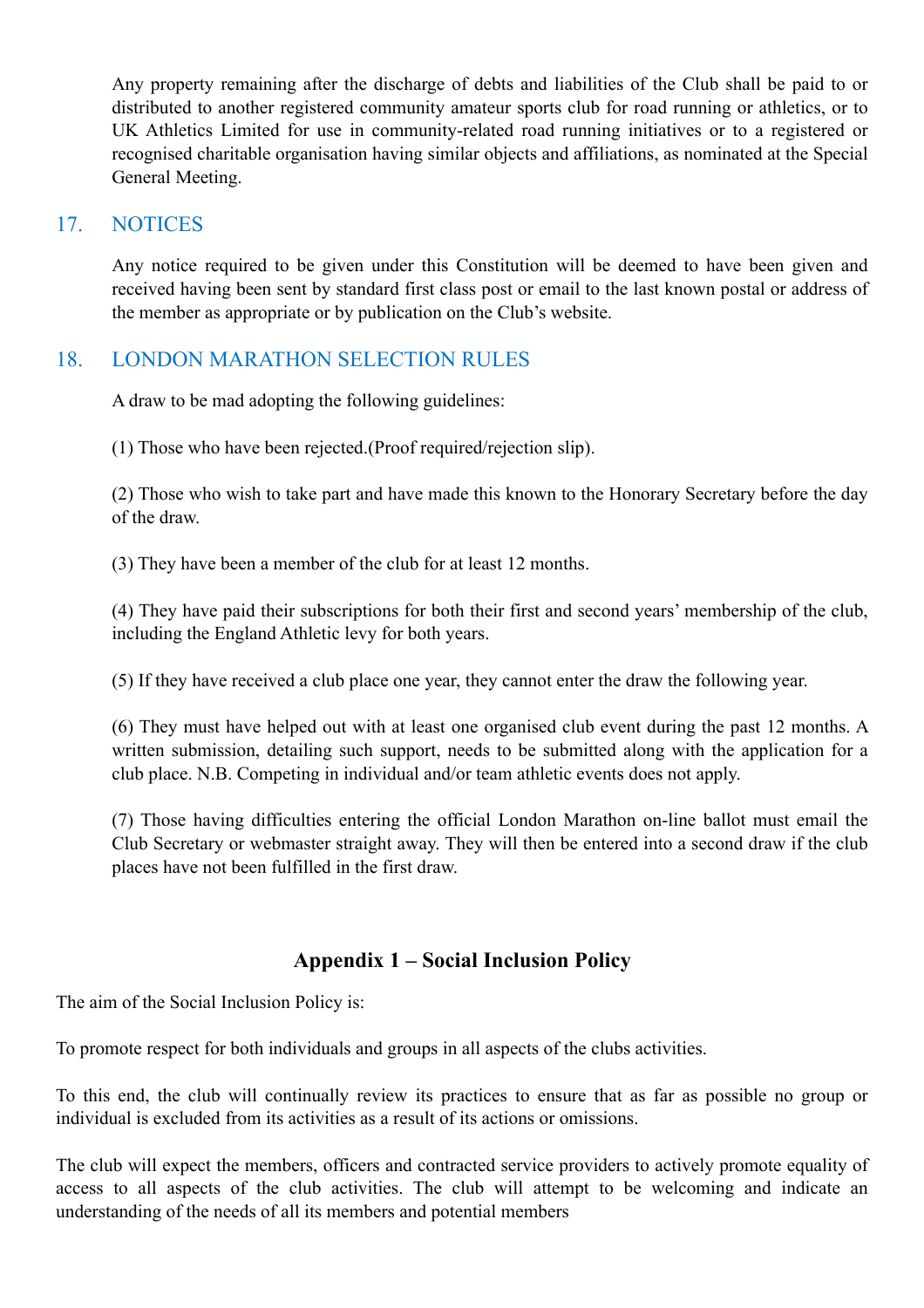Any property remaining after the discharge of debts and liabilities of the Club shall be paid to or distributed to another registered community amateur sports club for road running or athletics, or to UK Athletics Limited for use in community-related road running initiatives or to a registered or recognised charitable organisation having similar objects and affiliations, as nominated at the Special General Meeting.

### 17. NOTICES

Any notice required to be given under this Constitution will be deemed to have been given and received having been sent by standard first class post or email to the last known postal or address of the member as appropriate or by publication on the Club's website.

# 18. LONDON MARATHON SELECTION RULES

A draw to be mad adopting the following guidelines:

(1) Those who have been rejected.(Proof required/rejection slip).

(2) Those who wish to take part and have made this known to the Honorary Secretary before the day of the draw.

(3) They have been a member of the club for at least 12 months.

(4) They have paid their subscriptions for both their first and second years' membership of the club, including the England Athletic levy for both years.

(5) If they have received a club place one year, they cannot enter the draw the following year.

(6) They must have helped out with at least one organised club event during the past 12 months. A written submission, detailing such support, needs to be submitted along with the application for a club place. N.B. Competing in individual and/or team athletic events does not apply.

(7) Those having difficulties entering the official London Marathon on-line ballot must email the Club Secretary or webmaster straight away. They will then be entered into a second draw if the club places have not been fulfilled in the first draw.

# **Appendix 1 – Social Inclusion Policy**

The aim of the Social Inclusion Policy is:

To promote respect for both individuals and groups in all aspects of the clubs activities.

To this end, the club will continually review its practices to ensure that as far as possible no group or individual is excluded from its activities as a result of its actions or omissions.

The club will expect the members, officers and contracted service providers to actively promote equality of access to all aspects of the club activities. The club will attempt to be welcoming and indicate an understanding of the needs of all its members and potential members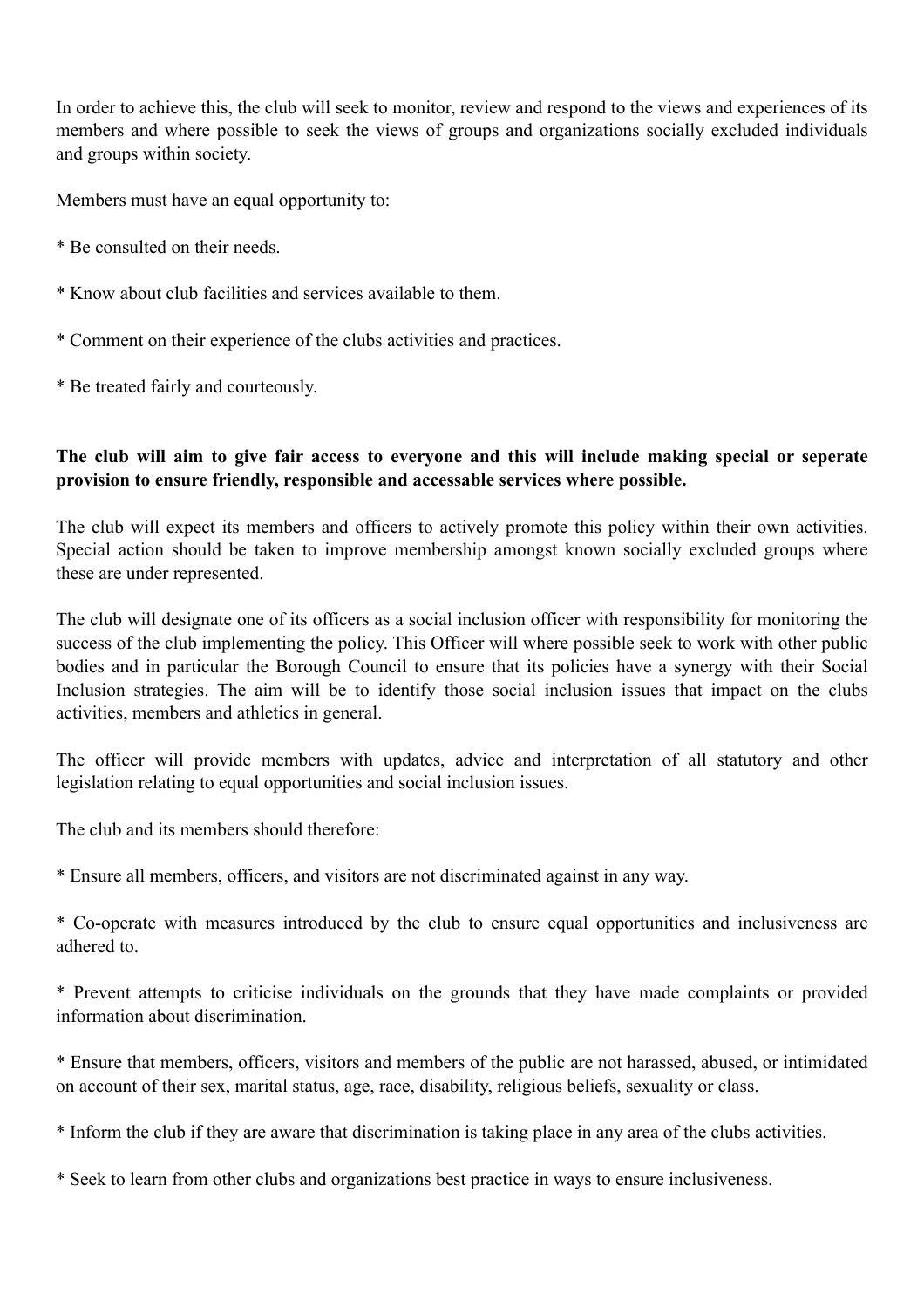In order to achieve this, the club will seek to monitor, review and respond to the views and experiences of its members and where possible to seek the views of groups and organizations socially excluded individuals and groups within society.

Members must have an equal opportunity to:

- \* Be consulted on their needs.
- \* Know about club facilities and services available to them.
- \* Comment on their experience of the clubs activities and practices.
- \* Be treated fairly and courteously.

#### **The club will aim to give fair access to everyone and this will include making special or seperate provision to ensure friendly, responsible and accessable services where possible.**

The club will expect its members and officers to actively promote this policy within their own activities. Special action should be taken to improve membership amongst known socially excluded groups where these are under represented.

The club will designate one of its officers as a social inclusion officer with responsibility for monitoring the success of the club implementing the policy. This Officer will where possible seek to work with other public bodies and in particular the Borough Council to ensure that its policies have a synergy with their Social Inclusion strategies. The aim will be to identify those social inclusion issues that impact on the clubs activities, members and athletics in general.

The officer will provide members with updates, advice and interpretation of all statutory and other legislation relating to equal opportunities and social inclusion issues.

The club and its members should therefore:

\* Ensure all members, officers, and visitors are not discriminated against in any way.

\* Co-operate with measures introduced by the club to ensure equal opportunities and inclusiveness are adhered to.

\* Prevent attempts to criticise individuals on the grounds that they have made complaints or provided information about discrimination.

\* Ensure that members, officers, visitors and members of the public are not harassed, abused, or intimidated on account of their sex, marital status, age, race, disability, religious beliefs, sexuality or class.

\* Inform the club if they are aware that discrimination is taking place in any area of the clubs activities.

\* Seek to learn from other clubs and organizations best practice in ways to ensure inclusiveness.